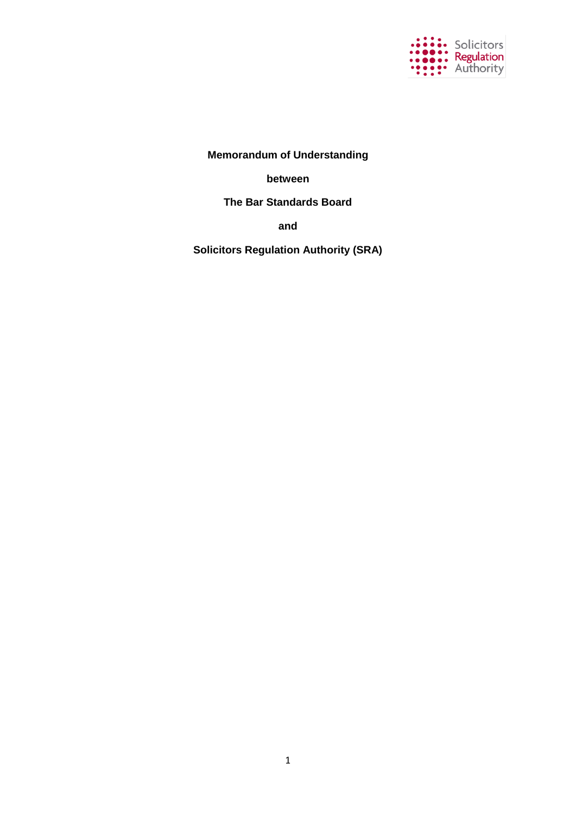

**Memorandum of Understanding**

**between**

**The Bar Standards Board**

**and**

**Solicitors Regulation Authority (SRA)**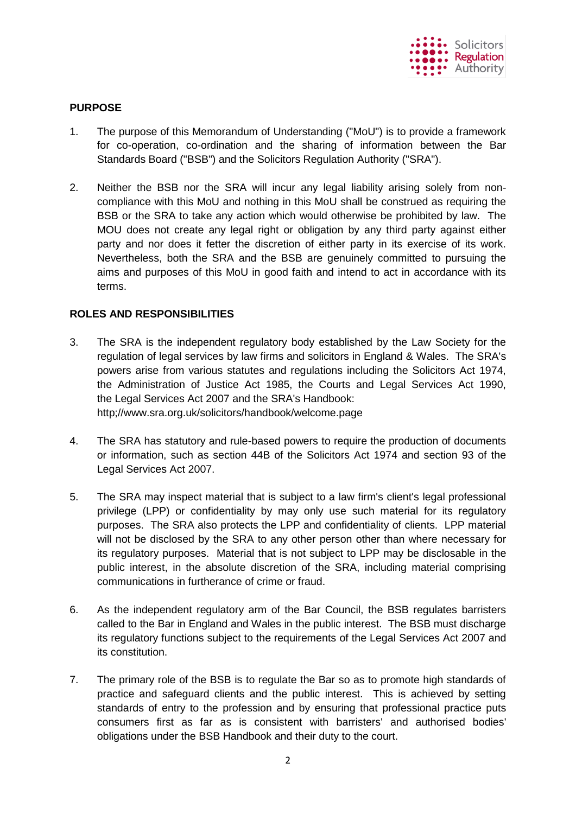

# **PURPOSE**

- 1. The purpose of this Memorandum of Understanding ("MoU") is to provide a framework for co-operation, co-ordination and the sharing of information between the Bar Standards Board ("BSB") and the Solicitors Regulation Authority ("SRA").
- 2. Neither the BSB nor the SRA will incur any legal liability arising solely from noncompliance with this MoU and nothing in this MoU shall be construed as requiring the BSB or the SRA to take any action which would otherwise be prohibited by law. The MOU does not create any legal right or obligation by any third party against either party and nor does it fetter the discretion of either party in its exercise of its work. Nevertheless, both the SRA and the BSB are genuinely committed to pursuing the aims and purposes of this MoU in good faith and intend to act in accordance with its terms.

# **ROLES AND RESPONSIBILITIES**

- 3. The SRA is the independent regulatory body established by the Law Society for the regulation of legal services by law firms and solicitors in England & Wales. The SRA's powers arise from various statutes and regulations including the Solicitors Act 1974, the Administration of Justice Act 1985, the Courts and Legal Services Act 1990, the Legal Services Act 2007 and the SRA's Handbook: http;//www.sra.org.uk/solicitors/handbook/welcome.page
- 4. The SRA has statutory and rule-based powers to require the production of documents or information, such as section 44B of the Solicitors Act 1974 and section 93 of the Legal Services Act 2007.
- 5. The SRA may inspect material that is subject to a law firm's client's legal professional privilege (LPP) or confidentiality by may only use such material for its regulatory purposes. The SRA also protects the LPP and confidentiality of clients. LPP material will not be disclosed by the SRA to any other person other than where necessary for its regulatory purposes. Material that is not subject to LPP may be disclosable in the public interest, in the absolute discretion of the SRA, including material comprising communications in furtherance of crime or fraud.
- 6. As the independent regulatory arm of the Bar Council, the BSB regulates barristers called to the Bar in England and Wales in the public interest. The BSB must discharge its regulatory functions subject to the requirements of the Legal Services Act 2007 and its constitution.
- 7. The primary role of the BSB is to regulate the Bar so as to promote high standards of practice and safeguard clients and the public interest. This is achieved by setting standards of entry to the profession and by ensuring that professional practice puts consumers first as far as is consistent with barristers' and authorised bodies' obligations under the BSB Handbook and their duty to the court.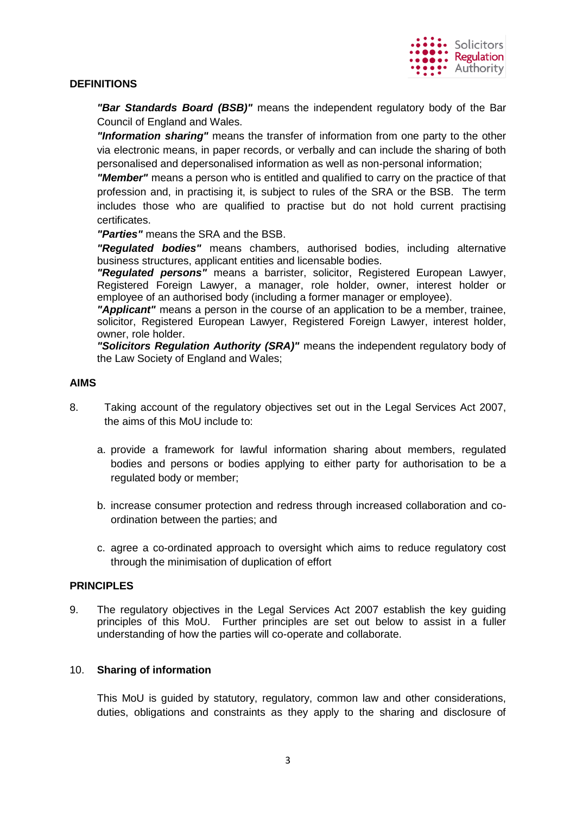## **DEFINITIONS**

*"Bar Standards Board (BSB)"* means the independent regulatory body of the Bar Council of England and Wales.

*"Information sharing"* means the transfer of information from one party to the other via electronic means, in paper records, or verbally and can include the sharing of both personalised and depersonalised information as well as non-personal information;

*"Member"* means a person who is entitled and qualified to carry on the practice of that profession and, in practising it, is subject to rules of the SRA or the BSB. The term includes those who are qualified to practise but do not hold current practising certificates.

*"Parties"* means the SRA and the BSB.

*"Regulated bodies"* means chambers, authorised bodies, including alternative business structures, applicant entities and licensable bodies.

*"Regulated persons"* means a barrister, solicitor, Registered European Lawyer, Registered Foreign Lawyer, a manager, role holder, owner, interest holder or employee of an authorised body (including a former manager or employee).

*"Applicant"* means a person in the course of an application to be a member, trainee, solicitor, Registered European Lawyer, Registered Foreign Lawyer, interest holder, owner, role holder.

*"Solicitors Regulation Authority (SRA)"* means the independent regulatory body of the Law Society of England and Wales;

### **AIMS**

- 8. Taking account of the regulatory objectives set out in the Legal Services Act 2007, the aims of this MoU include to:
	- a. provide a framework for lawful information sharing about members, regulated bodies and persons or bodies applying to either party for authorisation to be a regulated body or member;
	- b. increase consumer protection and redress through increased collaboration and coordination between the parties; and
	- c. agree a co-ordinated approach to oversight which aims to reduce regulatory cost through the minimisation of duplication of effort

#### **PRINCIPLES**

9. The regulatory objectives in the Legal Services Act 2007 establish the key guiding principles of this MoU. Further principles are set out below to assist in a fuller understanding of how the parties will co-operate and collaborate.

#### 10. **Sharing of information**

This MoU is guided by statutory, regulatory, common law and other considerations, duties, obligations and constraints as they apply to the sharing and disclosure of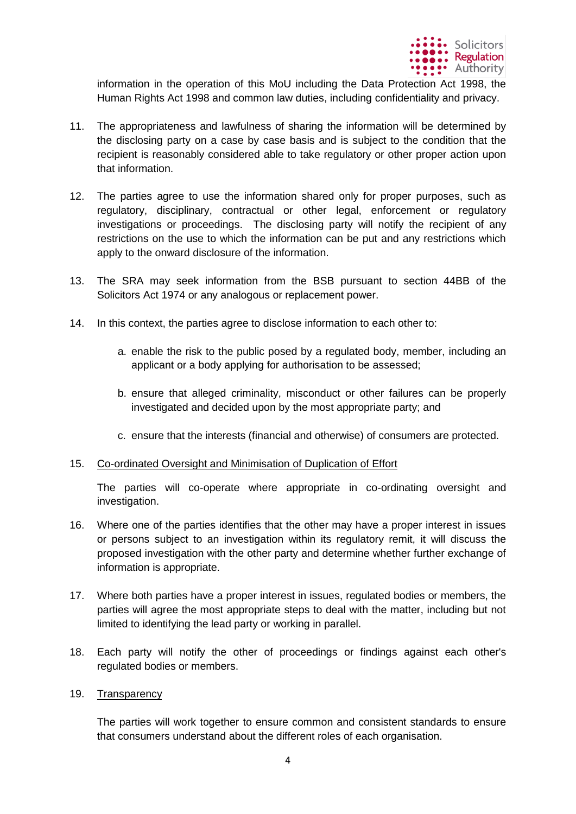

information in the operation of this MoU including the Data Protection Act 1998, the Human Rights Act 1998 and common law duties, including confidentiality and privacy.

- 11. The appropriateness and lawfulness of sharing the information will be determined by the disclosing party on a case by case basis and is subject to the condition that the recipient is reasonably considered able to take regulatory or other proper action upon that information.
- 12. The parties agree to use the information shared only for proper purposes, such as regulatory, disciplinary, contractual or other legal, enforcement or regulatory investigations or proceedings. The disclosing party will notify the recipient of any restrictions on the use to which the information can be put and any restrictions which apply to the onward disclosure of the information.
- 13. The SRA may seek information from the BSB pursuant to section 44BB of the Solicitors Act 1974 or any analogous or replacement power.
- 14. In this context, the parties agree to disclose information to each other to:
	- a. enable the risk to the public posed by a regulated body, member, including an applicant or a body applying for authorisation to be assessed;
	- b. ensure that alleged criminality, misconduct or other failures can be properly investigated and decided upon by the most appropriate party; and
	- c. ensure that the interests (financial and otherwise) of consumers are protected.
- 15. Co-ordinated Oversight and Minimisation of Duplication of Effort

The parties will co-operate where appropriate in co-ordinating oversight and investigation.

- 16. Where one of the parties identifies that the other may have a proper interest in issues or persons subject to an investigation within its regulatory remit, it will discuss the proposed investigation with the other party and determine whether further exchange of information is appropriate.
- 17. Where both parties have a proper interest in issues, regulated bodies or members, the parties will agree the most appropriate steps to deal with the matter, including but not limited to identifying the lead party or working in parallel.
- 18. Each party will notify the other of proceedings or findings against each other's regulated bodies or members.
- 19. Transparency

The parties will work together to ensure common and consistent standards to ensure that consumers understand about the different roles of each organisation.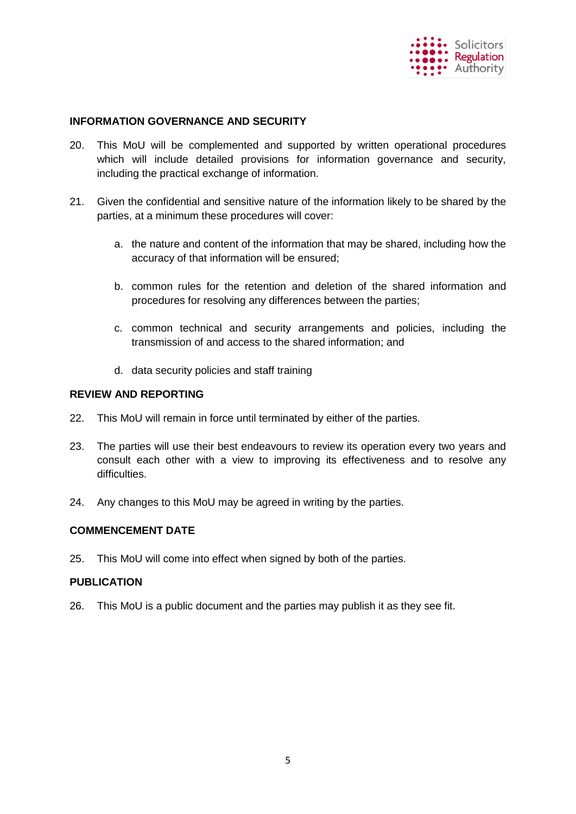

### **INFORMATION GOVERNANCE AND SECURITY**

- 20. This MoU will be complemented and supported by written operational procedures which will include detailed provisions for information governance and security, including the practical exchange of information.
- 21. Given the confidential and sensitive nature of the information likely to be shared by the parties, at a minimum these procedures will cover:
	- a. the nature and content of the information that may be shared, including how the accuracy of that information will be ensured;
	- b. common rules for the retention and deletion of the shared information and procedures for resolving any differences between the parties;
	- c. common technical and security arrangements and policies, including the transmission of and access to the shared information; and
	- d. data security policies and staff training

#### **REVIEW AND REPORTING**

- 22. This MoU will remain in force until terminated by either of the parties.
- 23. The parties will use their best endeavours to review its operation every two years and consult each other with a view to improving its effectiveness and to resolve any difficulties.
- 24. Any changes to this MoU may be agreed in writing by the parties.

# **COMMENCEMENT DATE**

25. This MoU will come into effect when signed by both of the parties.

#### **PUBLICATION**

26. This MoU is a public document and the parties may publish it as they see fit.